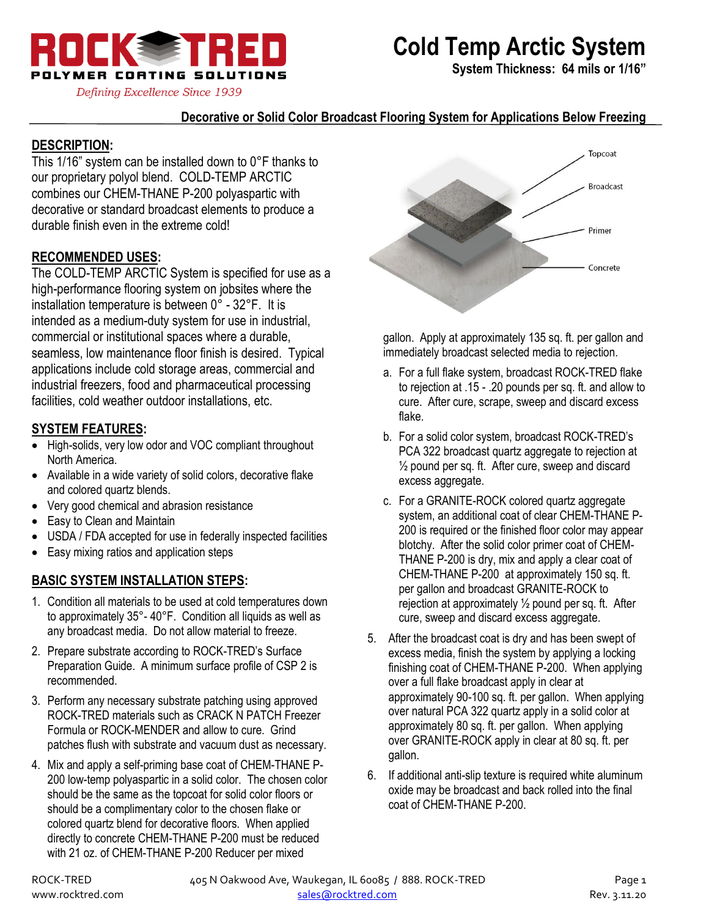

# **Cold Temp Arctic System**

**System Thickness: 64 mils or 1/16"**

#### **Decorative or Solid Color Broadcast Flooring System for Applications Below Freezing**

#### **DESCRIPTION:**

This 1/16" system can be installed down to 0°F thanks to our proprietary polyol blend. COLD-TEMP ARCTIC combines our CHEM-THANE P-200 polyaspartic with decorative or standard broadcast elements to produce a durable finish even in the extreme cold!

#### **RECOMMENDED USES:**

The COLD-TEMP ARCTIC System is specified for use as a high-performance flooring system on jobsites where the installation temperature is between 0° - 32°F. It is intended as a medium-duty system for use in industrial, commercial or institutional spaces where a durable, seamless, low maintenance floor finish is desired. Typical applications include cold storage areas, commercial and industrial freezers, food and pharmaceutical processing facilities, cold weather outdoor installations, etc.

#### **SYSTEM FEATURES:**

- High-solids, very low odor and VOC compliant throughout North America.
- Available in a wide variety of solid colors, decorative flake and colored quartz blends.
- Very good chemical and abrasion resistance
- Easy to Clean and Maintain
- USDA / FDA accepted for use in federally inspected facilities
- Easy mixing ratios and application steps

#### **BASIC SYSTEM INSTALLATION STEPS:**

- 1. Condition all materials to be used at cold temperatures down to approximately 35°- 40°F. Condition all liquids as well as any broadcast media. Do not allow material to freeze.
- 2. Prepare substrate according to ROCK-TRED's Surface Preparation Guide. A minimum surface profile of CSP 2 is recommended.
- 3. Perform any necessary substrate patching using approved ROCK-TRED materials such as CRACK N PATCH Freezer Formula or ROCK-MENDER and allow to cure. Grind patches flush with substrate and vacuum dust as necessary.
- 4. Mix and apply a self-priming base coat of CHEM-THANE P-200 low-temp polyaspartic in a solid color. The chosen color should be the same as the topcoat for solid color floors or should be a complimentary color to the chosen flake or colored quartz blend for decorative floors. When applied directly to concrete CHEM-THANE P-200 must be reduced with 21 oz. of CHEM-THANE P-200 Reducer per mixed



gallon. Apply at approximately 135 sq. ft. per gallon and immediately broadcast selected media to rejection.

- a. For a full flake system, broadcast ROCK-TRED flake to rejection at .15 - .20 pounds per sq. ft. and allow to cure. After cure, scrape, sweep and discard excess flake.
- b. For a solid color system, broadcast ROCK-TRED's PCA 322 broadcast quartz aggregate to rejection at  $\frac{1}{2}$  pound per sq. ft. After cure, sweep and discard excess aggregate.
- c. For a GRANITE-ROCK colored quartz aggregate system, an additional coat of clear CHEM-THANE P-200 is required or the finished floor color may appear blotchy. After the solid color primer coat of CHEM-THANE P-200 is dry, mix and apply a clear coat of CHEM-THANE P-200 at approximately 150 sq. ft. per gallon and broadcast GRANITE-ROCK to rejection at approximately  $\frac{1}{2}$  pound per sq. ft. After cure, sweep and discard excess aggregate.
- 5. After the broadcast coat is dry and has been swept of excess media, finish the system by applying a locking finishing coat of CHEM-THANE P-200. When applying over a full flake broadcast apply in clear at approximately 90-100 sq. ft. per gallon. When applying over natural PCA 322 quartz apply in a solid color at approximately 80 sq. ft. per gallon. When applying over GRANITE-ROCK apply in clear at 80 sq. ft. per gallon.
- 6. If additional anti-slip texture is required white aluminum oxide may be broadcast and back rolled into the final coat of CHEM-THANE P-200.